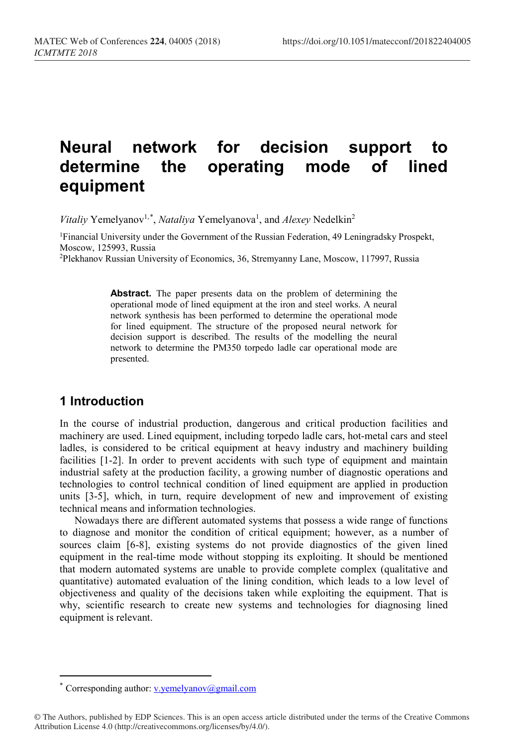# **Neural network for decision support to determine the operating mode of lined equipment**

Vitaliy Yemelyanov<sup>1,[\\*](#page-0-0)</sup>, *Nataliya* Yemelyanova<sup>1</sup>, and *Alexey* Nedelkin<sup>2</sup>

1Financial University under the Government of the Russian Federation, 49 Leningradsky Prospekt, Moscow, 125993, Russia

2Plekhanov Russian University of Economics, 36, Stremyanny Lane, Moscow, 117997, Russia

**Abstract.** The paper presents data on the problem of determining the operational mode of lined equipment at the iron and steel works. A neural network synthesis has been performed to determine the operational mode for lined equipment. The structure of the proposed neural network for decision support is described. The results of the modelling the neural network to determine the PM350 torpedo ladle car operational mode are presented.

### **1 Introduction**

 $\overline{a}$ 

In the course of industrial production, dangerous and critical production facilities and machinery are used. Lined equipment, including torpedo ladle cars, hot-metal cars and steel ladles, is considered to be critical equipment at heavy industry and machinery building facilities [1-2]. In order to prevent accidents with such type of equipment and maintain industrial safety at the production facility, a growing number of diagnostic operations and technologies to control technical condition of lined equipment are applied in production units [3-5], which, in turn, require development of new and improvement of existing technical means and information technologies.

Nowadays there are different automated systems that possess a wide range of functions to diagnose and monitor the condition of critical equipment; however, as a number of sources claim [6-8], existing systems do not provide diagnostics of the given lined equipment in the real-time mode without stopping its exploiting. It should be mentioned that modern automated systems are unable to provide complete complex (qualitative and quantitative) automated evaluation of the lining condition, which leads to a low level of objectiveness and quality of the decisions taken while exploiting the equipment. That is why, scientific research to create new systems and technologies for diagnosing lined equipment is relevant.

<span id="page-0-0"></span>Corresponding author: [v.yemelyanov@gmail.com](mailto:v.yemelyanov@gmail.com)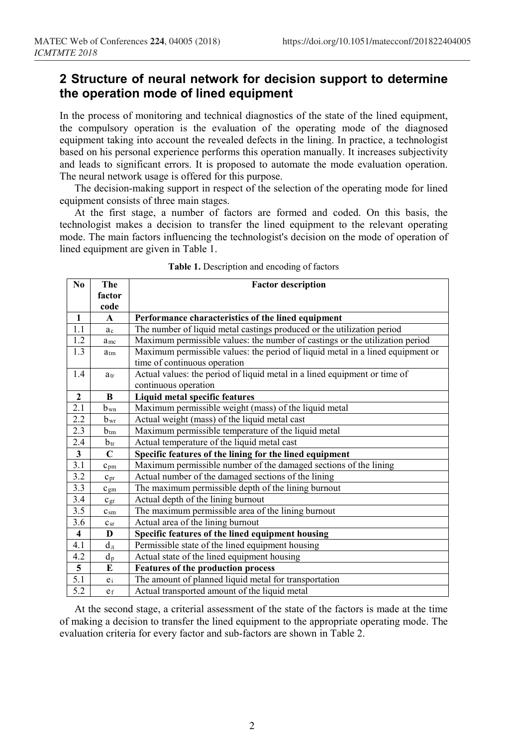# **2 Structure of neural network for decision support to determine the operation mode of lined equipment**

In the process of monitoring and technical diagnostics of the state of the lined equipment, the compulsory operation is the evaluation of the operating mode of the diagnosed equipment taking into account the revealed defects in the lining. In practice, a technologist based on his personal experience performs this operation manually. It increases subjectivity and leads to significant errors. It is proposed to automate the mode evaluation operation. The neural network usage is offered for this purpose.

The decision-making support in respect of the selection of the operating mode for lined equipment consists of three main stages.

At the first stage, a number of factors are formed and coded. On this basis, the technologist makes a decision to transfer the lined equipment to the relevant operating mode. The main factors influencing the technologist's decision on the mode of operation of lined equipment are given in Table 1.

| No                      | The                                         | <b>Factor description</b>                                                      |  |  |
|-------------------------|---------------------------------------------|--------------------------------------------------------------------------------|--|--|
|                         | factor                                      |                                                                                |  |  |
|                         | code                                        |                                                                                |  |  |
| $\mathbf{1}$            | A                                           | Performance characteristics of the lined equipment                             |  |  |
| 1.1                     | ac                                          | The number of liquid metal castings produced or the utilization period         |  |  |
| 1.2                     | a <sub>mc</sub>                             | Maximum permissible values: the number of castings or the utilization period   |  |  |
| 1.3                     | $a_{tm}$                                    | Maximum permissible values: the period of liquid metal in a lined equipment or |  |  |
|                         |                                             | time of continuous operation                                                   |  |  |
| 1.4                     | $a_{tr}$                                    | Actual values: the period of liquid metal in a lined equipment or time of      |  |  |
|                         |                                             | continuous operation                                                           |  |  |
| $\mathbf{2}$            | B                                           | Liquid metal specific features                                                 |  |  |
| 2.1                     | b wn                                        | Maximum permissible weight (mass) of the liquid metal                          |  |  |
| 2.2                     | $b_{wr}$                                    | Actual weight (mass) of the liquid metal cast                                  |  |  |
| $\overline{2.3}$        | $b_{tm}$                                    | Maximum permissible temperature of the liquid metal                            |  |  |
| 2.4                     | $b_{tr}$                                    | Actual temperature of the liquid metal cast                                    |  |  |
| $\mathbf{3}$            | C                                           | Specific features of the lining for the lined equipment                        |  |  |
| 3.1                     | $c_{pm}$                                    | Maximum permissible number of the damaged sections of the lining               |  |  |
| 3.2                     | $c_{pr}$                                    | Actual number of the damaged sections of the lining                            |  |  |
| $\overline{3.3}$        | $C_{gm}$                                    | The maximum permissible depth of the lining burnout                            |  |  |
| $\overline{3.4}$        | $C_{\rm gr}$                                | Actual depth of the lining burnout                                             |  |  |
| 3.5                     | c <sub>sm</sub>                             | The maximum permissible area of the lining burnout                             |  |  |
| 3.6                     | $c_{sr}$                                    | Actual area of the lining burnout                                              |  |  |
| $\overline{\mathbf{4}}$ | D                                           | Specific features of the lined equipment housing                               |  |  |
| 4.1                     | $d_{\scriptscriptstyle\rm I\hspace{-1pt}I}$ | Permissible state of the lined equipment housing                               |  |  |
| 4.2                     | $d_{p}$                                     | Actual state of the lined equipment housing                                    |  |  |
| 5                       | E                                           | <b>Features of the production process</b>                                      |  |  |
| 5.1                     | $e_i$                                       | The amount of planned liquid metal for transportation                          |  |  |
| 5.2                     | e <sub>f</sub>                              | Actual transported amount of the liquid metal                                  |  |  |

At the second stage, a criterial assessment of the state of the factors is made at the time of making a decision to transfer the lined equipment to the appropriate operating mode. The evaluation criteria for every factor and sub-factors are shown in Table 2.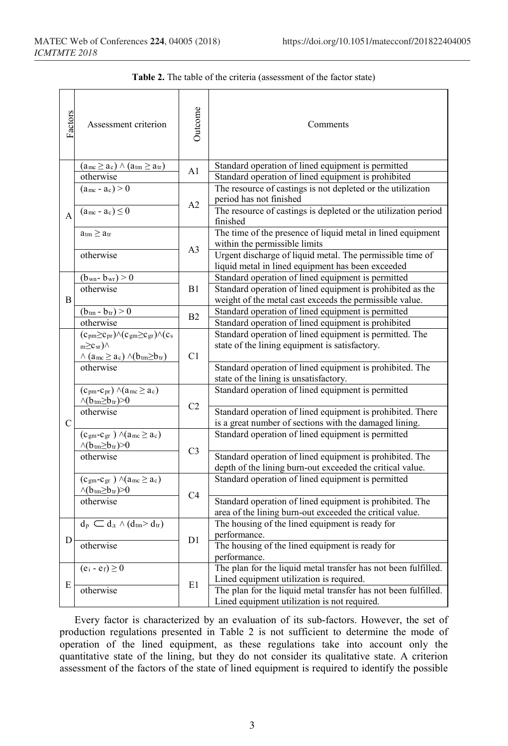| Factors       | Assessment criterion                                                                                                                                                                                     | Outcome        | Comments                                                                                                              |
|---------------|----------------------------------------------------------------------------------------------------------------------------------------------------------------------------------------------------------|----------------|-----------------------------------------------------------------------------------------------------------------------|
| A             | $(a_{mc} \geq a_c) \wedge (a_{tm} \geq a_{tr})$                                                                                                                                                          | A1             | Standard operation of lined equipment is permitted                                                                    |
|               | otherwise                                                                                                                                                                                                |                | Standard operation of lined equipment is prohibited                                                                   |
|               | $(a_{\rm mc} - a_{\rm c}) > 0$                                                                                                                                                                           | A2             | The resource of castings is not depleted or the utilization<br>period has not finished                                |
|               | $(a_{mc} - a_c) \leq 0$                                                                                                                                                                                  |                | The resource of castings is depleted or the utilization period<br>finished                                            |
|               | $a_{tm} \geq a_{tr}$                                                                                                                                                                                     | A <sub>3</sub> | The time of the presence of liquid metal in lined equipment<br>within the permissible limits                          |
|               | otherwise                                                                                                                                                                                                |                | Urgent discharge of liquid metal. The permissible time of<br>liquid metal in lined equipment has been exceeded        |
|               | $(b_{\rm wn} - b_{\rm wr}) > 0$                                                                                                                                                                          | B1             | Standard operation of lined equipment is permitted                                                                    |
| B             | otherwise                                                                                                                                                                                                |                | Standard operation of lined equipment is prohibited as the                                                            |
|               |                                                                                                                                                                                                          |                | weight of the metal cast exceeds the permissible value.                                                               |
|               | $(b_{tm} - b_{tr}) > 0$                                                                                                                                                                                  | B <sub>2</sub> | Standard operation of lined equipment is permitted                                                                    |
|               | otherwise                                                                                                                                                                                                |                | Standard operation of lined equipment is prohibited                                                                   |
| $\mathcal{C}$ | $(c_{pm} \geq c_{pr}) \wedge (c_{gm} \geq c_{gr}) \wedge (c_s$<br>$m \geq c_{sr}$ ) $\wedge$<br>C1<br>$\wedge$ (a <sub>mc</sub> $\ge$ a <sub>c</sub> ) $\wedge$ (b <sub>tm</sub> $\ge$ b <sub>tr</sub> ) |                | Standard operation of lined equipment is permitted. The<br>state of the lining equipment is satisfactory.             |
|               | otherwise                                                                                                                                                                                                |                | Standard operation of lined equipment is prohibited. The<br>state of the lining is unsatisfactory.                    |
|               | $(c_{pm}-c_{pr}) \wedge (a_{mc} \geq a_c)$<br>$\wedge$ (b <sub>tm</sub> $\geq$ b <sub>tr</sub> ) $\geq$ 0                                                                                                |                | Standard operation of lined equipment is permitted                                                                    |
|               | otherwise                                                                                                                                                                                                | C2             | Standard operation of lined equipment is prohibited. There<br>is a great number of sections with the damaged lining.  |
|               | $(c_{gm} - c_{gr}) \wedge (a_{mc} \geq a_c)$<br>$\wedge(b_{tm}\geq b_{tr})>0$                                                                                                                            |                | Standard operation of lined equipment is permitted                                                                    |
|               | otherwise                                                                                                                                                                                                | C <sub>3</sub> | Standard operation of lined equipment is prohibited. The<br>depth of the lining burn-out exceeded the critical value. |
|               | $(c_{gm} - c_{gr}) \wedge (a_{mc} \geq a_c)$<br>$\wedge (b_{tm} \geq b_{tr}) > 0$<br>C <sub>4</sub><br>otherwise                                                                                         |                | Standard operation of lined equipment is permitted                                                                    |
|               |                                                                                                                                                                                                          |                | Standard operation of lined equipment is prohibited. The<br>area of the lining burn-out exceeded the critical value.  |
| D             | $d_p \subset d_{\mathfrak{A}} \wedge (d_{\mathfrak{t}m} > d_{\mathfrak{t}r})$                                                                                                                            | D1             | The housing of the lined equipment is ready for                                                                       |
|               |                                                                                                                                                                                                          |                | performance.                                                                                                          |
|               | otherwise                                                                                                                                                                                                |                | The housing of the lined equipment is ready for<br>performance.                                                       |
|               | $(e_i - e_f) \geq 0$                                                                                                                                                                                     | E1             | The plan for the liquid metal transfer has not been fulfilled.                                                        |
| E             |                                                                                                                                                                                                          |                | Lined equipment utilization is required.                                                                              |
|               | otherwise                                                                                                                                                                                                |                | The plan for the liquid metal transfer has not been fulfilled.<br>Lined equipment utilization is not required.        |

Every factor is characterized by an evaluation of its sub-factors. However, the set of production regulations presented in Table 2 is not sufficient to determine the mode of operation of the lined equipment, as these regulations take into account only the quantitative state of the lining, but they do not consider its qualitative state. A criterion assessment of the factors of the state of lined equipment is required to identify the possible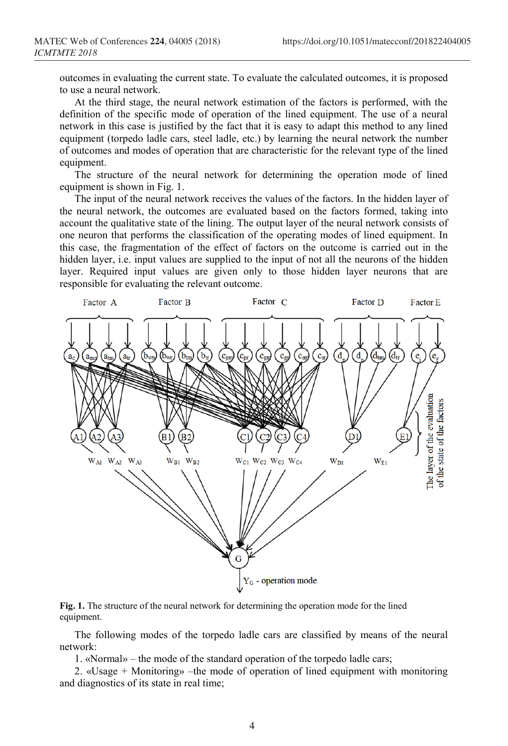outcomes in evaluating the current state. To evaluate the calculated outcomes, it is proposed to use a neural network.

At the third stage, the neural network estimation of the factors is performed, with the definition of the specific mode of operation of the lined equipment. The use of a neural network in this case is justified by the fact that it is easy to adapt this method to any lined equipment (torpedo ladle cars, steel ladle, etc.) by learning the neural network the number of outcomes and modes of operation that are characteristic for the relevant type of the lined equipment.

The structure of the neural network for determining the operation mode of lined equipment is shown in Fig. 1.

The input of the neural network receives the values of the factors. In the hidden layer of the neural network, the outcomes are evaluated based on the factors formed, taking into account the qualitative state of the lining. The output layer of the neural network consists of one neuron that performs the classification of the operating modes of lined equipment. In this case, the fragmentation of the effect of factors on the outcome is carried out in the hidden layer, i.e. input values are supplied to the input of not all the neurons of the hidden layer. Required input values are given only to those hidden layer neurons that are responsible for evaluating the relevant outcome.



#### **Fig. 1.** The structure of the neural network for determining the operation mode for the lined equipment.

The following modes of the torpedo ladle cars are classified by means of the neural network:

1. «Normal» – the mode of the standard operation of the torpedo ladle cars;

2. «Usage + Monitoring» –the mode of operation of lined equipment with monitoring and diagnostics of its state in real time;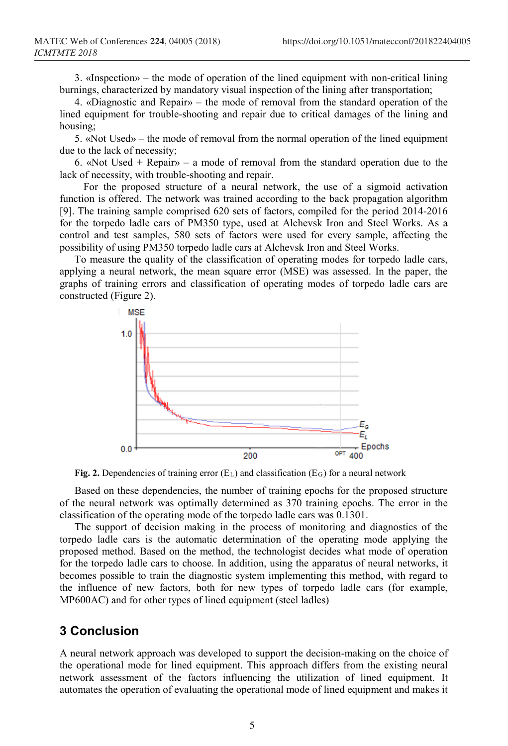3. «Inspection» – the mode of operation of the lined equipment with non-critical lining burnings, characterized by mandatory visual inspection of the lining after transportation;

4. «Diagnostic and Repair» – the mode of removal from the standard operation of the lined equipment for trouble-shooting and repair due to critical damages of the lining and housing;

5. «Not Used» – the mode of removal from the normal operation of the lined equipment due to the lack of necessity;

6. «Not Used + Repair» – a mode of removal from the standard operation due to the lack of necessity, with trouble-shooting and repair.

For the proposed structure of a neural network, the use of a sigmoid activation function is offered. The network was trained according to the back propagation algorithm [9]. The training sample comprised 620 sets of factors, compiled for the period 2014-2016 for the torpedo ladle cars of PM350 type, used at Alchevsk Iron and Steel Works. As a control and test samples, 580 sets of factors were used for every sample, affecting the possibility of using PM350 torpedo ladle cars at Alchevsk Iron and Steel Works.

To measure the quality of the classification of operating modes for torpedo ladle cars, applying a neural network, the mean square error (MSE) was assessed. In the paper, the graphs of training errors and classification of operating modes of torpedo ladle cars are constructed (Figure 2).



**Fig. 2.** Dependencies of training error (EL) and classification (EG) for a neural network

Based on these dependencies, the number of training epochs for the proposed structure of the neural network was optimally determined as 370 training epochs. The error in the classification of the operating mode of the torpedo ladle cars was 0.1301.

The support of decision making in the process of monitoring and diagnostics of the torpedo ladle cars is the automatic determination of the operating mode applying the proposed method. Based on the method, the technologist decides what mode of operation for the torpedo ladle cars to choose. In addition, using the apparatus of neural networks, it becomes possible to train the diagnostic system implementing this method, with regard to the influence of new factors, both for new types of torpedo ladle cars (for example, MP600AC) and for other types of lined equipment (steel ladles)

### **3 Conclusion**

A neural network approach was developed to support the decision-making on the choice of the operational mode for lined equipment. This approach differs from the existing neural network assessment of the factors influencing the utilization of lined equipment. It automates the operation of evaluating the operational mode of lined equipment and makes it